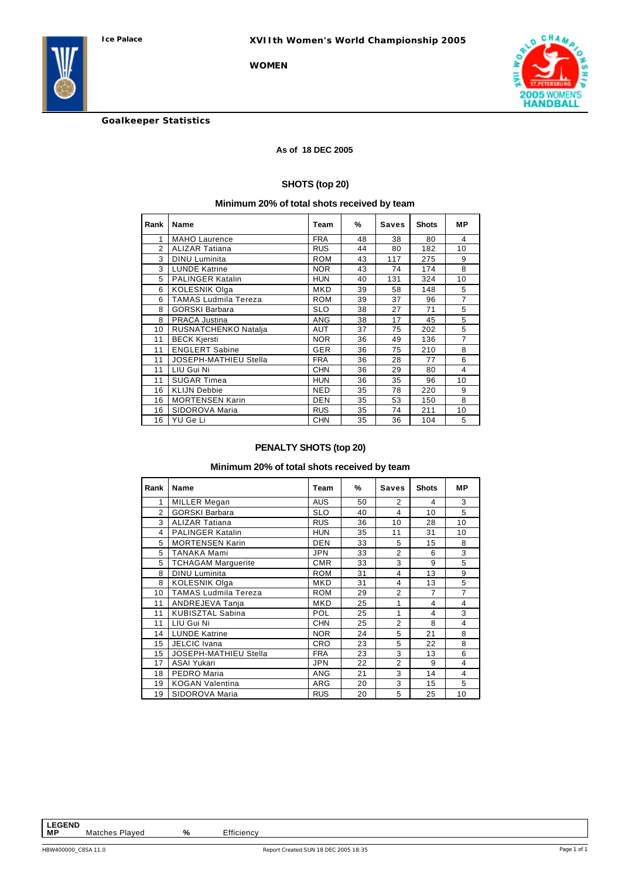



**Goalkeeper Statistics**

#### **As of 18 DEC 2005**

#### **SHOTS (top 20)**

# **Minimum 20% of total shots received by team**

| Rank           | Name                        | Team       | %  | <b>Saves</b> | <b>Shots</b> | <b>MP</b>      |
|----------------|-----------------------------|------------|----|--------------|--------------|----------------|
| 1              | <b>MAHO Laurence</b>        | <b>FRA</b> | 48 | 38           | 80           | 4              |
| $\overline{2}$ | <b>ALIZAR Tatiana</b>       | <b>RUS</b> | 44 | 80           | 182          | 10             |
| 3              | <b>DINU Luminita</b>        | <b>ROM</b> | 43 | 117          | 275          | 9              |
| 3              | <b>LUNDE Katrine</b>        | <b>NOR</b> | 43 | 74           | 174          | 8              |
| 5              | <b>PALINGER Katalin</b>     | <b>HUN</b> | 40 | 131          | 324          | 10             |
| 6              | <b>KOLESNIK Olga</b>        | <b>MKD</b> | 39 | 58           | 148          | 5              |
| 6              | <b>TAMAS Ludmila Tereza</b> | <b>ROM</b> | 39 | 37           | 96           | $\overline{7}$ |
| 8              | <b>GORSKI Barbara</b>       | <b>SLO</b> | 38 | 27           | 71           | 5              |
| 8              | <b>PRACA Justina</b>        | <b>ANG</b> | 38 | 17           | 45           | 5              |
| 10             | RUSNATCHENKO Natalja        | <b>AUT</b> | 37 | 75           | 202          | 5              |
| 11             | <b>BECK Kjersti</b>         | <b>NOR</b> | 36 | 49           | 136          | $\overline{7}$ |
| 11             | <b>ENGLERT Sabine</b>       | <b>GER</b> | 36 | 75           | 210          | 8              |
| 11             | JOSEPH-MATHIEU Stella       | <b>FRA</b> | 36 | 28           | 77           | 6              |
| 11             | LIU Gui Ni                  | <b>CHN</b> | 36 | 29           | 80           | 4              |
| 11             | <b>SUGAR Timea</b>          | <b>HUN</b> | 36 | 35           | 96           | 10             |
| 16             | <b>KLIJN Debbie</b>         | <b>NED</b> | 35 | 78           | 220          | 9              |
| 16             | <b>MORTENSEN Karin</b>      | <b>DEN</b> | 35 | 53           | 150          | 8              |
| 16             | SIDOROVA Maria              | <b>RUS</b> | 35 | 74           | 211          | 10             |
| 16             | YU Ge Li                    | <b>CHN</b> | 35 | 36           | 104          | 5              |

# **PENALTY SHOTS (top 20)**

# **Minimum 20% of total shots received by team**

| Rank           | Name                        | <b>Team</b> | %  | <b>Saves</b>   | <b>Shots</b>   | MР |
|----------------|-----------------------------|-------------|----|----------------|----------------|----|
| 1              | <b>MILLER Megan</b>         | <b>AUS</b>  | 50 | 2              | 4              | 3  |
| $\mathfrak{p}$ | <b>GORSKI Barbara</b>       | <b>SLO</b>  | 40 | $\overline{4}$ | 10             | 5  |
| 3              | <b>ALIZAR Tatiana</b>       | <b>RUS</b>  | 36 | 10             | 28             | 10 |
| 4              | <b>PALINGER Katalin</b>     | <b>HUN</b>  | 35 | 11             | 31             | 10 |
| 5              | <b>MORTENSEN Karin</b>      | <b>DEN</b>  | 33 | 5              | 15             | 8  |
| 5              | TANAKA Mami                 | <b>JPN</b>  | 33 | $\overline{2}$ | 6              | 3  |
| 5              | <b>TCHAGAM Marquerite</b>   | <b>CMR</b>  | 33 | 3              | 9              | 5  |
| 8              | <b>DINU Luminita</b>        | <b>ROM</b>  | 31 | 4              | 13             | 9  |
| 8              | <b>KOLESNIK Olga</b>        | MKD         | 31 | 4              | 13             | 5  |
| 10             | <b>TAMAS Ludmila Tereza</b> | <b>ROM</b>  | 29 | $\overline{2}$ | $\overline{7}$ | 7  |
| 11             | ANDREJEVA Tanja             | MKD         | 25 | 1              | 4              | 4  |
| 11             | <b>KUBISZTAL Sabina</b>     | POL         | 25 | 1              | 4              | 3  |
| 11             | LIU Gui Ni                  | <b>CHN</b>  | 25 | $\overline{2}$ | 8              | 4  |
| 14             | <b>LUNDE Katrine</b>        | <b>NOR</b>  | 24 | 5              | 21             | 8  |
| 15             | <b>JELCIC</b> Ivana         | <b>CRO</b>  | 23 | 5              | 22             | 8  |
| 15             | JOSEPH-MATHIEU Stella       | <b>FRA</b>  | 23 | 3              | 13             | 6  |
| 17             | <b>ASAI Yukari</b>          | <b>JPN</b>  | 22 | $\overline{2}$ | 9              | 4  |
| 18             | PEDRO Maria                 | <b>ANG</b>  | 21 | 3              | 14             | 4  |
| 19             | <b>KOGAN Valentina</b>      | <b>ARG</b>  | 20 | 3              | 15             | 5  |
| 19             | SIDOROVA Maria              | <b>RUS</b>  | 20 | 5              | 25             | 10 |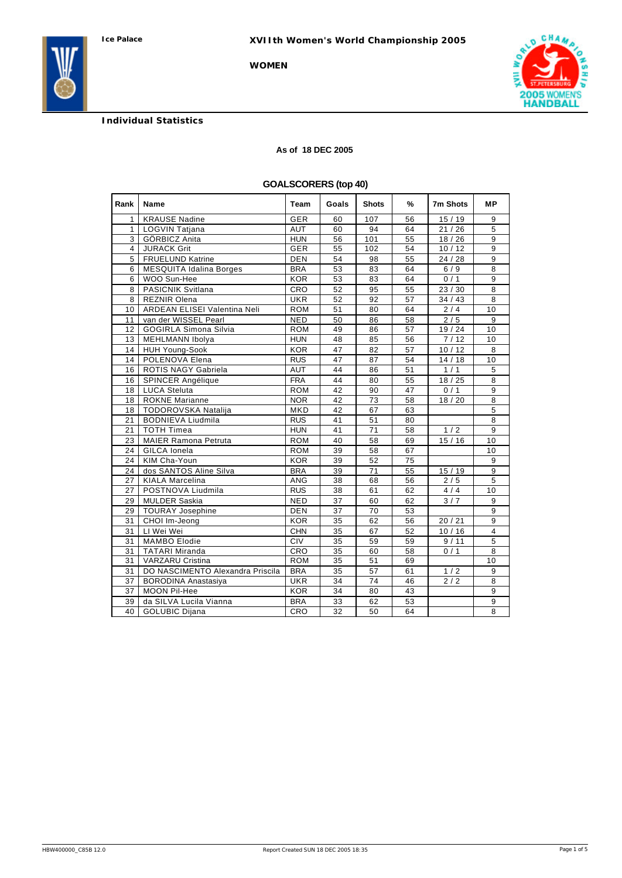# **Individual Statistics**

### **As of 18 DEC 2005**

# **GOALSCORERS (top 40)**

| Rank            | Name                                | Team       | Goals | <b>Shots</b> | %  | 7m Shots         | MР             |
|-----------------|-------------------------------------|------------|-------|--------------|----|------------------|----------------|
| 1               | <b>KRAUSE Nadine</b>                | <b>GER</b> | 60    | 107          | 56 | 15/19            | 9              |
| $\mathbf{1}$    | <b>LOGVIN Tatjana</b>               | <b>AUT</b> | 60    | 94           | 64 | 21/26            | $\overline{5}$ |
| 3               | GÖRBICZ Anita                       | <b>HUN</b> | 56    | 101          | 55 | 18/26            | 9              |
| 4               | <b>JURACK Grit</b>                  | <b>GER</b> | 55    | 102          | 54 | 10/12            | 9              |
| 5               | <b>FRUELUND Katrine</b>             | DEN        | 54    | 98           | 55 | 24/28            | 9              |
| 6               | <b>MESQUITA Idalina Borges</b>      | <b>BRA</b> | 53    | 83           | 64 | 6/9              | $\overline{8}$ |
| 6               | WOO Sun-Hee                         | <b>KOR</b> | 53    | 83           | 64 | 0/1              | 9              |
| 8               | PASICNIK Svitlana                   | CRO        | 52    | 95           | 55 | 23/30            | 8              |
| 8               | <b>REZNIR Olena</b>                 | <b>UKR</b> | 52    | 92           | 57 | 34/43            | 8              |
| 10 <sup>1</sup> | <b>ARDEAN ELISEI Valentina Neli</b> | <b>ROM</b> | 51    | 80           | 64 | 2/4              | 10             |
| 11              | van der WISSEL Pearl                | <b>NED</b> | 50    | 86           | 58 | 2/5              | 9              |
| 12              | <b>GOGIRLA Simona Silvia</b>        | <b>ROM</b> | 49    | 86           | 57 | 19 / 24          | 10             |
| 13              | MEHLMANN Ibolya                     | <b>HUN</b> | 48    | 85           | 56 | 7/12             | 10             |
| 14              | <b>HUH Young-Sook</b>               | <b>KOR</b> | 47    | 82           | 57 | 10/12            | 8              |
| 14              | POLENOVA Elena                      | <b>RUS</b> | 47    | 87           | 54 | 14/18            | 10             |
| 16              | ROTIS NAGY Gabriela                 | <b>AUT</b> | 44    | 86           | 51 | 1/1              | 5              |
| 16              | SPINCER Angélique                   | <b>FRA</b> | 44    | 80           | 55 | 18/25            | 8              |
| 18              | <b>LUCA Steluta</b>                 | <b>ROM</b> | 42    | 90           | 47 | 0/1              | 9              |
| 18              | <b>ROKNE Marianne</b>               | <b>NOR</b> | 42    | 73           | 58 | 18/20            | 8              |
| 18              | TODOROVSKA Natalija                 | <b>MKD</b> | 42    | 67           | 63 |                  | 5              |
| 21              | <b>BODNIEVA Liudmila</b>            | <b>RUS</b> | 41    | 51           | 80 |                  | 8              |
| 21              | <b>TOTH Timea</b>                   | <b>HUN</b> | 41    | 71           | 58 | 1/2              | 9              |
| 23              | <b>MAIER Ramona Petruta</b>         | <b>ROM</b> | 40    | 58           | 69 | 15/16            | 10             |
| 24              | <b>GILCA</b> Ionela                 | <b>ROM</b> | 39    | 58           | 67 |                  | 10             |
| 24              | KIM Cha-Youn                        | <b>KOR</b> | 39    | 52           | 75 |                  | 9              |
| 24              | dos SANTOS Aline Silva              | <b>BRA</b> | 39    | 71           | 55 | 15/19            | 9              |
| 27              | <b>KIALA Marcelina</b>              | <b>ANG</b> | 38    | 68           | 56 | 2/5              | 5              |
| 27              | POSTNOVA Liudmila                   | <b>RUS</b> | 38    | 61           | 62 | 4/4              | 10             |
| 29              | <b>MULDER Saskia</b>                | <b>NED</b> | 37    | 60           | 62 | 3/7              | 9              |
| 29              | <b>TOURAY Josephine</b>             | <b>DEN</b> | 37    | 70           | 53 |                  | 9              |
| 31              | CHOI Im-Jeong                       | <b>KOR</b> | 35    | 62           | 56 | 20/21            | 9              |
| 31              | LI Wei Wei                          | <b>CHN</b> | 35    | 67           | 52 | 10/16            | $\overline{4}$ |
| 31              | <b>MAMBO</b> Elodie                 | <b>CIV</b> | 35    | 59           | 59 | 9/11             | 5              |
| 31              | <b>TATARI Miranda</b>               | CRO        | 35    | 60           | 58 | 0/1              | 8              |
| 31              | VARZARU Cristina                    | <b>ROM</b> | 35    | 51           | 69 |                  | 10             |
| 31              | DO NASCIMENTO Alexandra Priscila    | <b>BRA</b> | 35    | 57           | 61 | 1/2              | 9              |
| 37              | <b>BORODINA Anastasiya</b>          | <b>UKR</b> | 34    | 74           | 46 | $\overline{2/2}$ | 8              |
| 37              | MOON Pil-Hee                        | <b>KOR</b> | 34    | 80           | 43 |                  | 9              |
| 39              | da SILVA Lucila Vianna              | <b>BRA</b> | 33    | 62           | 53 |                  | 9              |
| 40              | <b>GOLUBIC Dijana</b>               | CRO        | 32    | 50           | 64 |                  | 8              |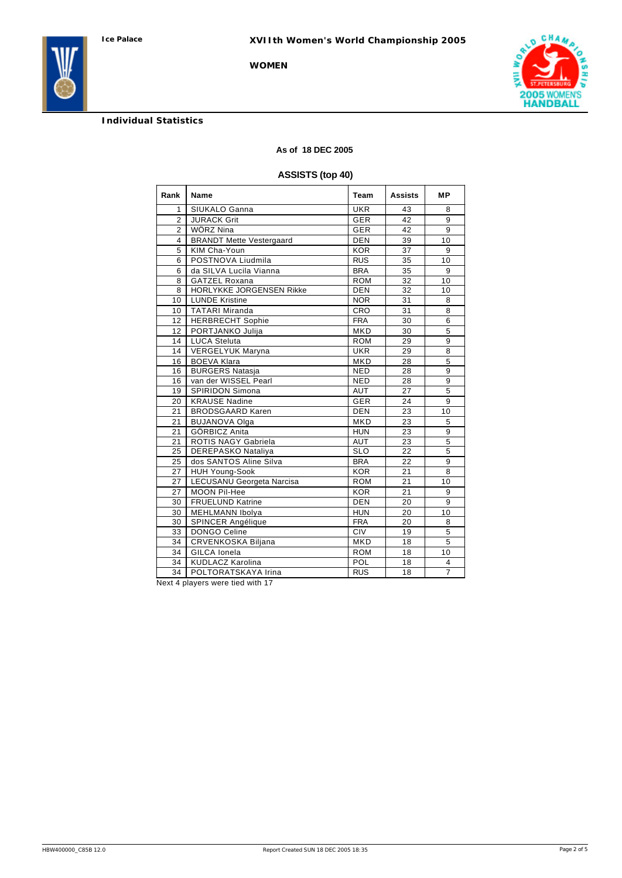# **Individual Statistics**

#### **As of 18 DEC 2005**

# **ASSISTS (top 40)**

| Rank            | Name                            | Team       | <b>Assists</b> | <b>MP</b>      |
|-----------------|---------------------------------|------------|----------------|----------------|
| 1               | SIUKALO Ganna                   | <b>UKR</b> | 43             | 8              |
| $\overline{2}$  | <b>JURACK Grit</b>              | <b>GER</b> | 42             | 9              |
| $\overline{2}$  | WÖRZ Nina                       | <b>GER</b> | 42             | 9              |
| 4               | <b>BRANDT Mette Vestergaard</b> | <b>DEN</b> | 39             | 10             |
| 5               | KIM Cha-Youn                    | <b>KOR</b> | 37             | 9              |
| 6               | POSTNOVA Liudmila               | <b>RUS</b> | 35             | 10             |
| 6               | da SILVA Lucila Vianna          | <b>BRA</b> | 35             | 9              |
| 8               | <b>GATZEL Roxana</b>            | <b>ROM</b> | 32             | 10             |
| 8               | HORLYKKE JORGENSEN Rikke        | <b>DEN</b> | 32             | 10             |
| 10              | <b>LUNDE Kristine</b>           | <b>NOR</b> | 31             | 8              |
| 10              | <b>TATARI Miranda</b>           | CRO        | 31             | 8              |
| 12 <sup>2</sup> | <b>HERBRECHT Sophie</b>         | <b>FRA</b> | 30             | 6              |
| 12              | PORTJANKO Julija                | <b>MKD</b> | 30             | 5              |
| 14              | <b>LUCA Steluta</b>             | <b>ROM</b> | 29             | 9              |
| 14              | VERGELYUK Maryna                | <b>UKR</b> | 29             | 8              |
| 16              | <b>BOEVA Klara</b>              | <b>MKD</b> | 28             | 5              |
| 16              | <b>BURGERS Natasja</b>          | <b>NED</b> | 28             | 9              |
| 16              | van der WISSEL Pearl            | <b>NED</b> | 28             | 9              |
| 19              | SPIRIDON Simona                 | AUT        | 27             | $\overline{5}$ |
| 20              | <b>KRAUSE Nadine</b>            | <b>GER</b> | 24             | 9              |
| 21              | <b>BRODSGAARD Karen</b>         | <b>DEN</b> | 23             | 10             |
| 21              | <b>BUJANOVA Olga</b>            | <b>MKD</b> | 23             | 5              |
| 21              | <b>GÖRBICZ Anita</b>            | <b>HUN</b> | 23             | 9              |
| 21              | ROTIS NAGY Gabriela             | <b>AUT</b> | 23             | 5              |
| 25              | <b>DEREPASKO Nataliya</b>       | <b>SLO</b> | 22             | 5              |
| 25              | dos SANTOS Aline Silva          | <b>BRA</b> | 22             | 9              |
| 27              | <b>HUH Young-Sook</b>           | <b>KOR</b> | 21             | 8              |
| 27              | LECUSANU Georgeta Narcisa       | <b>ROM</b> | 21             | 10             |
| 27              | MOON Pil-Hee                    | <b>KOR</b> | 21             | 9              |
| 30              | <b>FRUELUND Katrine</b>         | <b>DEN</b> | 20             | 9              |
| 30              | <b>MEHLMANN Ibolya</b>          | <b>HUN</b> | 20             | 10             |
| 30              | SPINCER Angélique               | <b>FRA</b> | 20             | 8              |
| 33              | DONGO Celine                    | <b>CIV</b> | 19             | 5              |
| 34              | CRVENKOSKA Biljana              | <b>MKD</b> | 18             | 5              |
| 34              | <b>GILCA</b> Ionela             | <b>ROM</b> | 18             | 10             |
| 34              | <b>KUDLACZ Karolina</b>         | POL        | 18             | 4              |
| $\overline{34}$ | POLTORATSKAYA Irina             | <b>RUS</b> | 18             | $\overline{7}$ |

Next 4 players were tied with 17

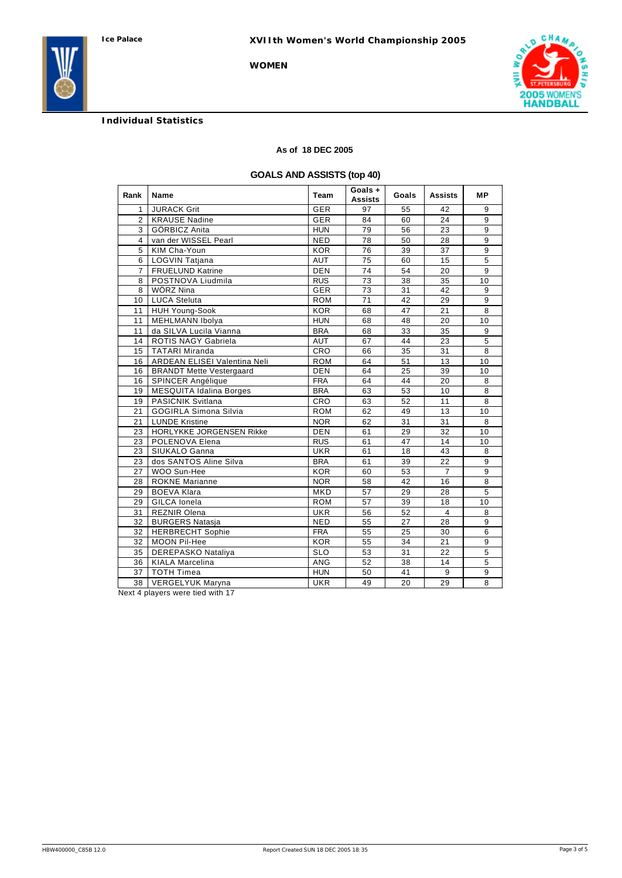

# **Individual Statistics**

### **As of 18 DEC 2005**

# **GOALS AND ASSISTS (top 40)**

| Rank           | Name                            | Team       | Goals +<br><b>Assists</b> | Goals           | Assists         | МP             |
|----------------|---------------------------------|------------|---------------------------|-----------------|-----------------|----------------|
| $\mathbf{1}$   | <b>JURACK Grit</b>              | <b>GER</b> | 97                        | 55              | 42              | 9              |
| $\overline{2}$ | <b>KRAUSE Nadine</b>            | <b>GER</b> | 84                        | 60              | 24              | 9              |
| 3              | GÖRBICZ Anita                   | <b>HUN</b> | 79                        | 56              | 23              | 9              |
| $\overline{4}$ | van der WISSEL Pearl            | <b>NED</b> | 78                        | 50              | 28              | 9              |
| 5              | KIM Cha-Youn                    | <b>KOR</b> | 76                        | 39              | 37              | 9              |
| 6              | <b>LOGVIN Tatjana</b>           | <b>AUT</b> | 75                        | 60              | 15              | 5              |
| $\overline{7}$ | <b>FRUELUND Katrine</b>         | <b>DEN</b> | 74                        | 54              | 20              | $\overline{9}$ |
| 8              | POSTNOVA Liudmila               | <b>RUS</b> | 73                        | $\overline{38}$ | $\overline{35}$ | 10             |
| 8              | WÖRZ Nina                       | <b>GER</b> | 73                        | 31              | 42              | 9              |
| 10             | <b>LUCA Steluta</b>             | <b>ROM</b> | 71                        | 42              | 29              | 9              |
| 11             | <b>HUH Young-Sook</b>           | <b>KOR</b> | 68                        | 47              | 21              | 8              |
| 11             | <b>MEHLMANN Ibolya</b>          | <b>HUN</b> | 68                        | 48              | 20              | 10             |
| 11             | da SILVA Lucila Vianna          | <b>BRA</b> | 68                        | 33              | 35              | 9              |
| 14             | <b>ROTIS NAGY Gabriela</b>      | <b>AUT</b> | 67                        | 44              | 23              | 5              |
| 15             | <b>TATARI Miranda</b>           | CRO        | 66                        | 35              | 31              | 8              |
| 16             | ARDEAN ELISEI Valentina Neli    | <b>ROM</b> | 64                        | 51              | 13              | 10             |
| 16             | <b>BRANDT Mette Vestergaard</b> | <b>DEN</b> | 64                        | 25              | 39              | 10             |
| 16             | SPINCER Angélique               | <b>FRA</b> | 64                        | 44              | 20              | 8              |
| 19             | <b>MESQUITA Idalina Borges</b>  | <b>BRA</b> | 63                        | 53              | 10              | 8              |
| 19             | <b>PASICNIK Svitlana</b>        | CRO        | 63                        | 52              | 11              | 8              |
| 21             | <b>GOGIRLA Simona Silvia</b>    | <b>ROM</b> | 62                        | 49              | 13              | 10             |
| 21             | <b>LUNDE Kristine</b>           | <b>NOR</b> | 62                        | 31              | 31              | 8              |
| 23             | HORLYKKE JORGENSEN Rikke        | <b>DEN</b> | 61                        | 29              | 32              | 10             |
| 23             | POLENOVA Elena                  | <b>RUS</b> | 61                        | 47              | 14              | 10             |
| 23             | SIUKALO Ganna                   | <b>UKR</b> | 61                        | 18              | 43              | 8              |
| 23             | dos SANTOS Aline Silva          | <b>BRA</b> | 61                        | 39              | 22              | 9              |
| 27             | WOO Sun-Hee                     | <b>KOR</b> | 60                        | 53              | $\overline{7}$  | 9              |
| 28             | <b>ROKNE</b> Marianne           | <b>NOR</b> | 58                        | 42              | 16              | 8              |
| 29             | <b>BOEVA Klara</b>              | <b>MKD</b> | 57                        | 29              | 28              | $\overline{5}$ |
| 29             | <b>GILCA</b> Ionela             | <b>ROM</b> | 57                        | 39              | 18              | 10             |
| 31             | <b>REZNIR Olena</b>             | <b>UKR</b> | 56                        | 52              | $\overline{4}$  | 8              |
| 32             | <b>BURGERS Natasja</b>          | <b>NED</b> | 55                        | 27              | 28              | 9              |
| 32             | <b>HERBRECHT Sophie</b>         | <b>FRA</b> | 55                        | 25              | 30              | 6              |
| 32             | MOON Pil-Hee                    | <b>KOR</b> | 55                        | 34              | 21              | 9              |
| 35             | DEREPASKO Nataliya              | <b>SLO</b> | 53                        | 31              | 22              | $\overline{5}$ |
| 36             | <b>KIALA Marcelina</b>          | <b>ANG</b> | 52                        | 38              | 14              | 5              |
| 37             | <b>TOTH Timea</b>               | <b>HUN</b> | 50                        | 41              | 9               | 9              |
| 38             | <b>VERGELYUK Maryna</b>         | <b>UKR</b> | 49                        | 20              | 29              | 8              |

Next 4 players were tied with 17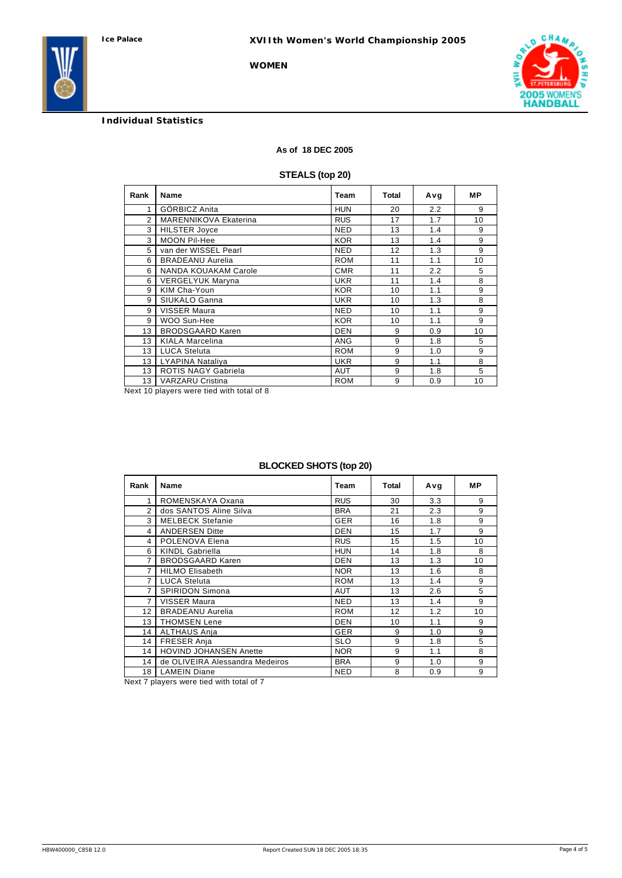

# **Individual Statistics**

### **As of 18 DEC 2005**

**WOMEN**

# **STEALS (top 20)**

| Rank          | Name                         |            | Total | Avg | МP |
|---------------|------------------------------|------------|-------|-----|----|
| 1             | GÖRBICZ Anita                | <b>HUN</b> | 20    | 2.2 | 9  |
| $\mathcal{P}$ | <b>MARENNIKOVA Ekaterina</b> | <b>RUS</b> | 17    | 1.7 | 10 |
| 3             | <b>HILSTER Joyce</b>         | <b>NED</b> | 13    | 1.4 | 9  |
| 3             | <b>MOON Pil-Hee</b>          | <b>KOR</b> | 13    | 1.4 | 9  |
| 5             | van der WISSEL Pearl         | <b>NED</b> | 12    | 1.3 | 9  |
| 6             | <b>BRADEANU Aurelia</b>      | <b>ROM</b> | 11    | 1.1 | 10 |
| 6             | NANDA KOUAKAM Carole         | <b>CMR</b> | 11    | 2.2 | 5  |
| 6             | <b>VERGELYUK Maryna</b>      | <b>UKR</b> | 11    | 1.4 | 8  |
| 9             | KIM Cha-Youn                 | <b>KOR</b> | 10    | 1.1 | 9  |
| 9             | SIUKALO Ganna                | <b>UKR</b> | 10    | 1.3 | 8  |
| 9             | VISSER Maura                 | <b>NED</b> | 10    | 1.1 | 9  |
| 9             | WOO Sun-Hee                  | <b>KOR</b> | 10    | 1.1 | 9  |
| 13            | <b>BRODSGAARD Karen</b>      | <b>DEN</b> | 9     | 0.9 | 10 |
| 13            | <b>KIALA Marcelina</b>       | <b>ANG</b> | 9     | 1.8 | 5  |
| 13            | <b>LUCA Steluta</b>          | <b>ROM</b> | 9     | 1.0 | 9  |
| 13            | LYAPINA Nataliya             | <b>UKR</b> | 9     | 1.1 | 8  |
| 13            | <b>ROTIS NAGY Gabriela</b>   | <b>AUT</b> | 9     | 1.8 | 5  |
| 13            | <b>VARZARU Cristina</b>      | <b>ROM</b> | 9     | 0.9 | 10 |

Next 10 players were tied with total of 8

# **BLOCKED SHOTS (top 20)**

| Rank           | <b>Name</b>                     | Team       | Total | Avg | <b>MP</b> |
|----------------|---------------------------------|------------|-------|-----|-----------|
| 1              | ROMENSKAYA Oxana                | <b>RUS</b> | 30    | 3.3 | 9         |
| 2              | dos SANTOS Aline Silva          | <b>BRA</b> | 21    | 2.3 | 9         |
| 3              | <b>MELBECK Stefanie</b>         | <b>GER</b> | 16    | 1.8 | 9         |
| $\overline{4}$ | <b>ANDERSEN Ditte</b>           | <b>DEN</b> | 15    | 1.7 | 9         |
| 4              | POLENOVA Elena                  | <b>RUS</b> | 15    | 1.5 | 10        |
| 6              | <b>KINDL Gabriella</b>          | <b>HUN</b> | 14    | 1.8 | 8         |
| 7              | <b>BRODSGAARD Karen</b>         | <b>DEN</b> | 13    | 1.3 | 10        |
| 7              | <b>HILMO Elisabeth</b>          | <b>NOR</b> | 13    | 1.6 | 8         |
| 7              | <b>LUCA Steluta</b>             | <b>ROM</b> | 13    | 1.4 | 9         |
| 7              | <b>SPIRIDON Simona</b>          | <b>AUT</b> | 13    | 2.6 | 5         |
| 7              | VISSER Maura                    | <b>NED</b> | 13    | 1.4 | 9         |
| 12             | <b>BRADEANU Aurelia</b>         | <b>ROM</b> | 12    | 1.2 | 10        |
| 13             | <b>THOMSEN Lene</b>             | <b>DEN</b> | 10    | 1.1 | 9         |
| 14             | <b>ALTHAUS Anja</b>             | <b>GER</b> | 9     | 1.0 | 9         |
| 14             | <b>FRESER Anja</b>              | <b>SLO</b> | 9     | 1.8 | 5         |
| 14             | <b>HOVIND JOHANSEN Anette</b>   | <b>NOR</b> | 9     | 1.1 | 8         |
| 14             | de OLIVEIRA Alessandra Medeiros | <b>BRA</b> | 9     | 1.0 | 9         |
| 18             | <b>LAMEIN Diane</b>             | <b>NED</b> | 8     | 0.9 | 9         |

Next 7 players were tied with total of 7